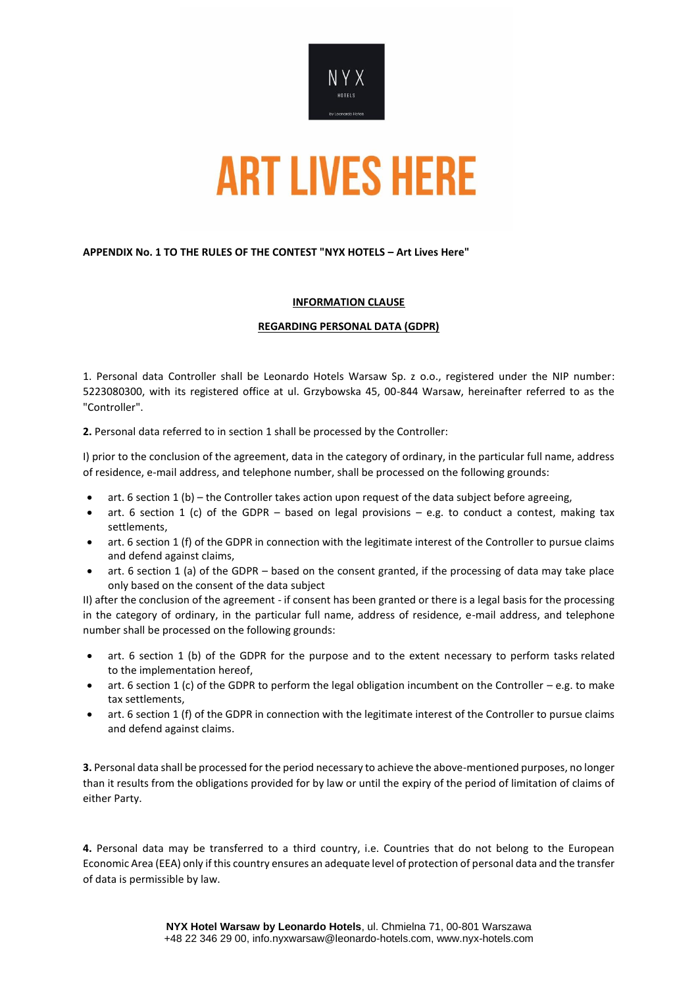

## **APPENDIX No. 1 TO THE RULES OF THE CONTEST "NYX HOTELS – Art Lives Here"**

## **INFORMATION CLAUSE**

### **REGARDING PERSONAL DATA (GDPR)**

1. Personal data Controller shall be Leonardo Hotels Warsaw Sp. z o.o., registered under the NIP number: 5223080300, with its registered office at ul. Grzybowska 45, 00-844 Warsaw, hereinafter referred to as the "Controller".

**2.** Personal data referred to in section 1 shall be processed by the Controller:

I) prior to the conclusion of the agreement, data in the category of ordinary, in the particular full name, address of residence, e-mail address, and telephone number, shall be processed on the following grounds:

- art. 6 section 1 (b) the Controller takes action upon request of the data subject before agreeing,
- art. 6 section 1 (c) of the GDPR based on legal provisions e.g. to conduct a contest, making tax settlements,
- art. 6 section 1 (f) of the GDPR in connection with the legitimate interest of the Controller to pursue claims and defend against claims,
- art. 6 section 1 (a) of the GDPR based on the consent granted, if the processing of data may take place only based on the consent of the data subject

II) after the conclusion of the agreement - if consent has been granted or there is a legal basis for the processing in the category of ordinary, in the particular full name, address of residence, e-mail address, and telephone number shall be processed on the following grounds:

- art. 6 section 1 (b) of the GDPR for the purpose and to the extent necessary to perform tasks related to the implementation hereof,
- art. 6 section 1 (c) of the GDPR to perform the legal obligation incumbent on the Controller e.g. to make tax settlements,
- art. 6 section 1 (f) of the GDPR in connection with the legitimate interest of the Controller to pursue claims and defend against claims.

**3.** Personal data shall be processed for the period necessary to achieve the above-mentioned purposes, no longer than it results from the obligations provided for by law or until the expiry of the period of limitation of claims of either Party.

**4.** Personal data may be transferred to a third country, i.e. Countries that do not belong to the European Economic Area (EEA) only if this country ensures an adequate level of protection of personal data and the transfer of data is permissible by law.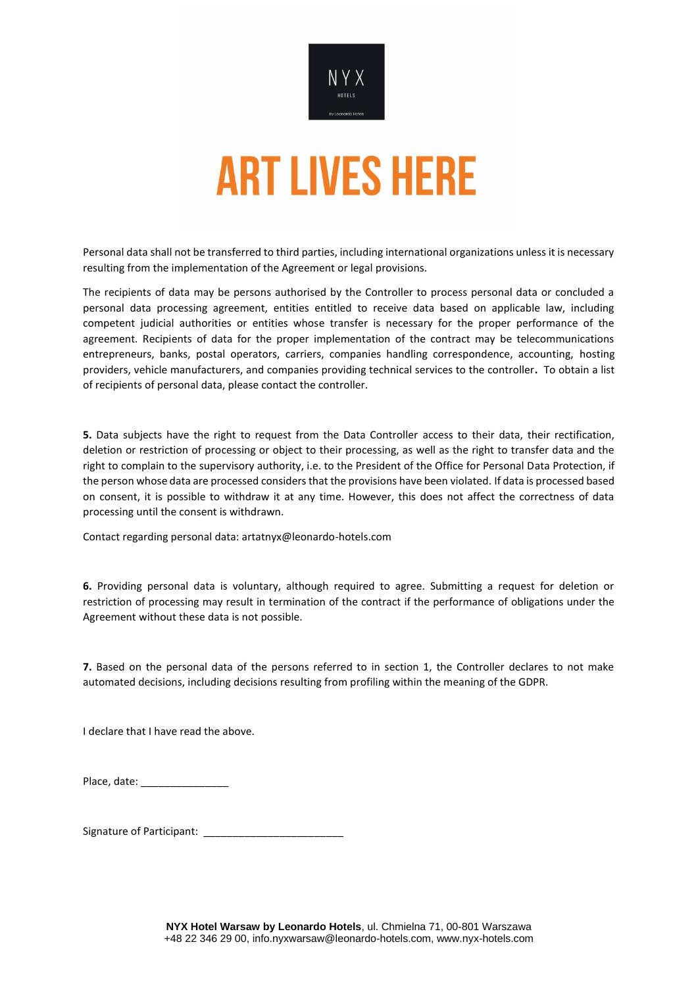

Personal data shall not be transferred to third parties, including international organizations unless it is necessary resulting from the implementation of the Agreement or legal provisions.

The recipients of data may be persons authorised by the Controller to process personal data or concluded a personal data processing agreement, entities entitled to receive data based on applicable law, including competent judicial authorities or entities whose transfer is necessary for the proper performance of the agreement. Recipients of data for the proper implementation of the contract may be telecommunications entrepreneurs, banks, postal operators, carriers, companies handling correspondence, accounting, hosting providers, vehicle manufacturers, and companies providing technical services to the controller**.** To obtain a list of recipients of personal data, please contact the controller.

**5.** Data subjects have the right to request from the Data Controller access to their data, their rectification, deletion or restriction of processing or object to their processing, as well as the right to transfer data and the right to complain to the supervisory authority, i.e. to the President of the Office for Personal Data Protection, if the person whose data are processed considers that the provisions have been violated. If data is processed based on consent, it is possible to withdraw it at any time. However, this does not affect the correctness of data processing until the consent is withdrawn.

Contact regarding personal data: artatnyx@leonardo-hotels.com

**6.** Providing personal data is voluntary, although required to agree. Submitting a request for deletion or restriction of processing may result in termination of the contract if the performance of obligations under the Agreement without these data is not possible.

**7.** Based on the personal data of the persons referred to in section 1, the Controller declares to not make automated decisions, including decisions resulting from profiling within the meaning of the GDPR.

I declare that I have read the above.

Place, date:

Signature of Participant: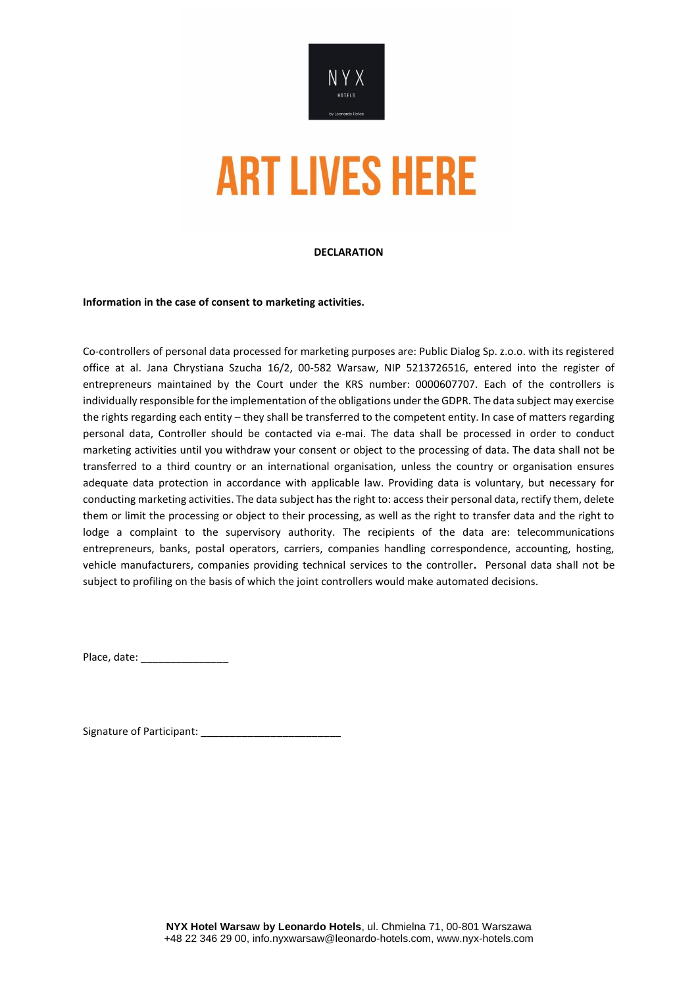

### **DECLARATION**

**Information in the case of consent to marketing activities.**

Co-controllers of personal data processed for marketing purposes are: Public Dialog Sp. z.o.o. with its registered office at al. Jana Chrystiana Szucha 16/2, 00-582 Warsaw, NIP 5213726516, entered into the register of entrepreneurs maintained by the Court under the KRS number: 0000607707. Each of the controllers is individually responsible for the implementation of the obligations under the GDPR. The data subject may exercise the rights regarding each entity – they shall be transferred to the competent entity. In case of matters regarding personal data, Controller should be contacted via e-mai. The data shall be processed in order to conduct marketing activities until you withdraw your consent or object to the processing of data. The data shall not be transferred to a third country or an international organisation, unless the country or organisation ensures adequate data protection in accordance with applicable law. Providing data is voluntary, but necessary for conducting marketing activities. The data subject has the right to: access their personal data, rectify them, delete them or limit the processing or object to their processing, as well as the right to transfer data and the right to lodge a complaint to the supervisory authority. The recipients of the data are: telecommunications entrepreneurs, banks, postal operators, carriers, companies handling correspondence, accounting, hosting, vehicle manufacturers, companies providing technical services to the controller**.** Personal data shall not be subject to profiling on the basis of which the joint controllers would make automated decisions.

Place, date: \_\_\_\_\_\_\_\_\_\_\_\_\_\_\_

Signature of Participant: